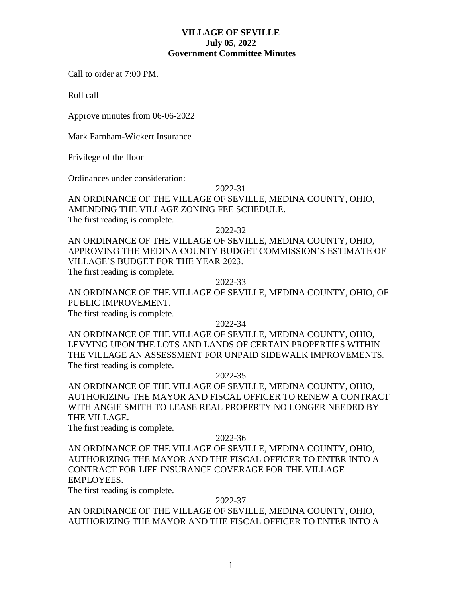## **VILLAGE OF SEVILLE July 05, 2022 Government Committee Minutes**

Call to order at 7:00 PM.

Roll call

Approve minutes from 06-06-2022

Mark Farnham-Wickert Insurance

Privilege of the floor

Ordinances under consideration:

## 2022-31

AN ORDINANCE OF THE VILLAGE OF SEVILLE, MEDINA COUNTY, OHIO, AMENDING THE VILLAGE ZONING FEE SCHEDULE. The first reading is complete.

2022-32

AN ORDINANCE OF THE VILLAGE OF SEVILLE, MEDINA COUNTY, OHIO, APPROVING THE MEDINA COUNTY BUDGET COMMISSION'S ESTIMATE OF VILLAGE'S BUDGET FOR THE YEAR 2023. The first reading is complete.

2022-33

AN ORDINANCE OF THE VILLAGE OF SEVILLE, MEDINA COUNTY, OHIO, OF PUBLIC IMPROVEMENT.

The first reading is complete.

## 2022-34

AN ORDINANCE OF THE VILLAGE OF SEVILLE, MEDINA COUNTY, OHIO, LEVYING UPON THE LOTS AND LANDS OF CERTAIN PROPERTIES WITHIN THE VILLAGE AN ASSESSMENT FOR UNPAID SIDEWALK IMPROVEMENTS. The first reading is complete.

## 2022-35

AN ORDINANCE OF THE VILLAGE OF SEVILLE, MEDINA COUNTY, OHIO, AUTHORIZING THE MAYOR AND FISCAL OFFICER TO RENEW A CONTRACT WITH ANGIE SMITH TO LEASE REAL PROPERTY NO LONGER NEEDED BY THE VILLAGE.

The first reading is complete.

## 2022-36

AN ORDINANCE OF THE VILLAGE OF SEVILLE, MEDINA COUNTY, OHIO, AUTHORIZING THE MAYOR AND THE FISCAL OFFICER TO ENTER INTO A CONTRACT FOR LIFE INSURANCE COVERAGE FOR THE VILLAGE EMPLOYEES.

The first reading is complete.

## 2022-37

AN ORDINANCE OF THE VILLAGE OF SEVILLE, MEDINA COUNTY, OHIO, AUTHORIZING THE MAYOR AND THE FISCAL OFFICER TO ENTER INTO A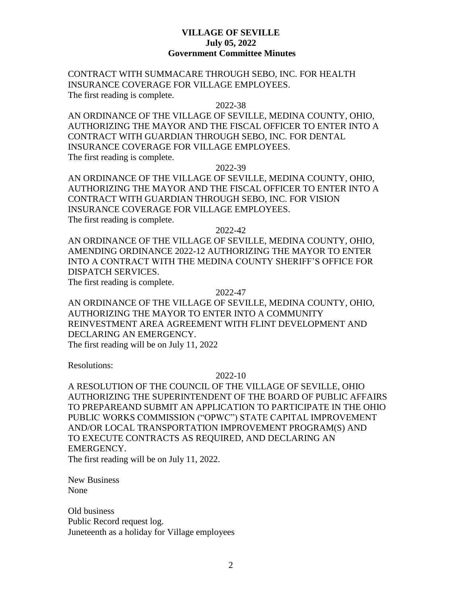## **VILLAGE OF SEVILLE July 05, 2022 Government Committee Minutes**

CONTRACT WITH SUMMACARE THROUGH SEBO, INC. FOR HEALTH INSURANCE COVERAGE FOR VILLAGE EMPLOYEES. The first reading is complete.

#### 2022-38

AN ORDINANCE OF THE VILLAGE OF SEVILLE, MEDINA COUNTY, OHIO, AUTHORIZING THE MAYOR AND THE FISCAL OFFICER TO ENTER INTO A CONTRACT WITH GUARDIAN THROUGH SEBO, INC. FOR DENTAL INSURANCE COVERAGE FOR VILLAGE EMPLOYEES. The first reading is complete.

2022-39

AN ORDINANCE OF THE VILLAGE OF SEVILLE, MEDINA COUNTY, OHIO, AUTHORIZING THE MAYOR AND THE FISCAL OFFICER TO ENTER INTO A CONTRACT WITH GUARDIAN THROUGH SEBO, INC. FOR VISION INSURANCE COVERAGE FOR VILLAGE EMPLOYEES. The first reading is complete.

2022-42

AN ORDINANCE OF THE VILLAGE OF SEVILLE, MEDINA COUNTY, OHIO, AMENDING ORDINANCE 2022-12 AUTHORIZING THE MAYOR TO ENTER INTO A CONTRACT WITH THE MEDINA COUNTY SHERIFF'S OFFICE FOR DISPATCH SERVICES.

The first reading is complete.

#### 2022-47

AN ORDINANCE OF THE VILLAGE OF SEVILLE, MEDINA COUNTY, OHIO, AUTHORIZING THE MAYOR TO ENTER INTO A COMMUNITY REINVESTMENT AREA AGREEMENT WITH FLINT DEVELOPMENT AND DECLARING AN EMERGENCY. The first reading will be on July 11, 2022

Resolutions:

## 2022-10

A RESOLUTION OF THE COUNCIL OF THE VILLAGE OF SEVILLE, OHIO AUTHORIZING THE SUPERINTENDENT OF THE BOARD OF PUBLIC AFFAIRS TO PREPAREAND SUBMIT AN APPLICATION TO PARTICIPATE IN THE OHIO PUBLIC WORKS COMMISSION ("OPWC") STATE CAPITAL IMPROVEMENT AND/OR LOCAL TRANSPORTATION IMPROVEMENT PROGRAM(S) AND TO EXECUTE CONTRACTS AS REQUIRED, AND DECLARING AN EMERGENCY. The first reading will be on July 11, 2022.

New Business None

Old business Public Record request log. Juneteenth as a holiday for Village employees